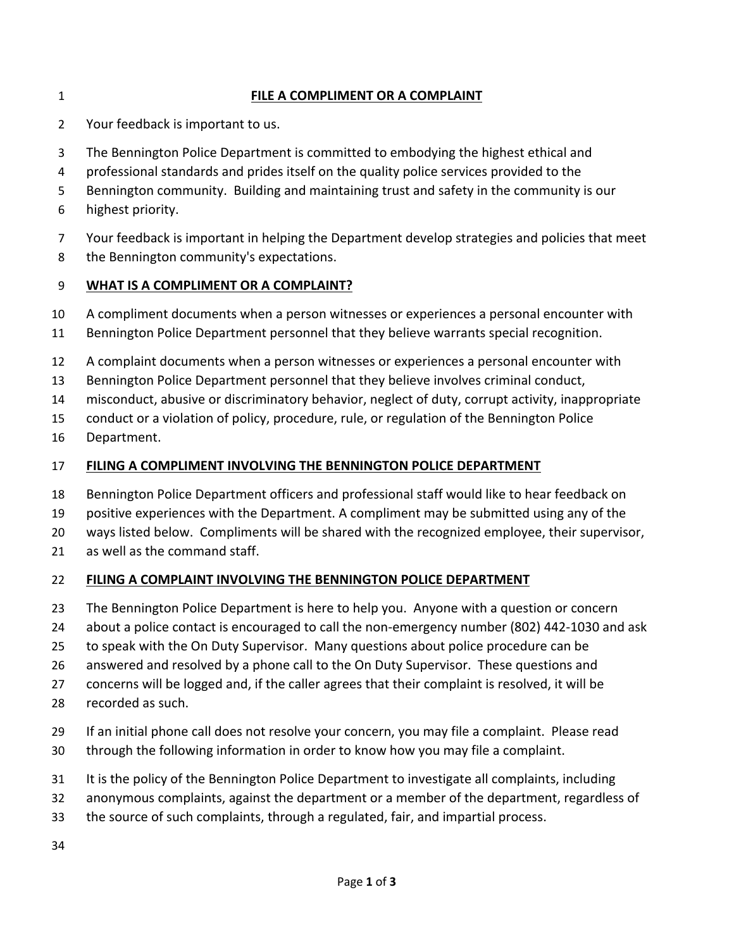### **FILE A COMPLIMENT OR A COMPLAINT**

- Your feedback is important to us.
- The Bennington Police Department is committed to embodying the highest ethical and
- professional standards and prides itself on the quality police services provided to the
- Bennington community. Building and maintaining trust and safety in the community is our
- highest priority.
- Your feedback is important in helping the Department develop strategies and policies that meet
- 8 the Bennington community's expectations.

### **WHAT IS A COMPLIMENT OR A COMPLAINT?**

- A compliment documents when a person witnesses or experiences a personal encounter with
- Bennington Police Department personnel that they believe warrants special recognition.
- A complaint documents when a person witnesses or experiences a personal encounter with
- Bennington Police Department personnel that they believe involves criminal conduct,
- misconduct, abusive or discriminatory behavior, neglect of duty, corrupt activity, inappropriate
- conduct or a violation of policy, procedure, rule, or regulation of the Bennington Police
- Department.

### **FILING A COMPLIMENT INVOLVING THE BENNINGTON POLICE DEPARTMENT**

- Bennington Police Department officers and professional staff would like to hear feedback on
- positive experiences with the Department. A compliment may be submitted using any of the
- ways listed below. Compliments will be shared with the recognized employee, their supervisor,
- as well as the command staff.

### **FILING A COMPLAINT INVOLVING THE BENNINGTON POLICE DEPARTMENT**

- The Bennington Police Department is here to help you. Anyone with a question or concern
- about a police contact is encouraged to call the non-emergency number (802) 442-1030 and ask
- to speak with the On Duty Supervisor. Many questions about police procedure can be
- answered and resolved by a phone call to the On Duty Supervisor. These questions and
- concerns will be logged and, if the caller agrees that their complaint is resolved, it will be
- recorded as such.
- If an initial phone call does not resolve your concern, you may file a complaint. Please read
- through the following information in order to know how you may file a complaint.
- It is the policy of the Bennington Police Department to investigate all complaints, including
- anonymous complaints, against the department or a member of the department, regardless of
- the source of such complaints, through a regulated, fair, and impartial process.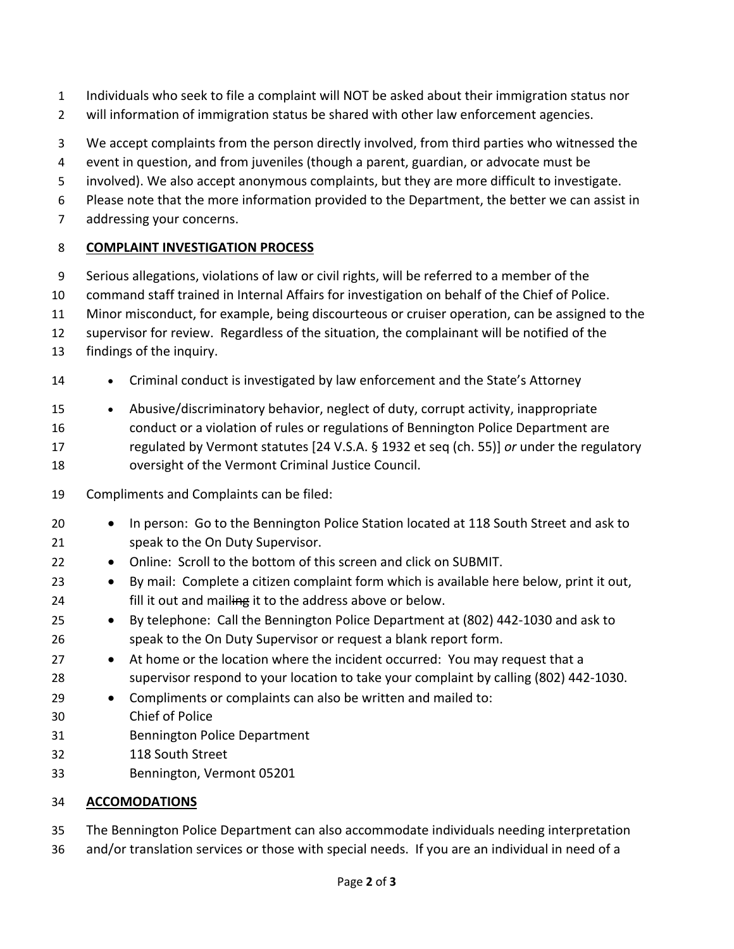- Individuals who seek to file a complaint will NOT be asked about their immigration status nor
- will information of immigration status be shared with other law enforcement agencies.
- We accept complaints from the person directly involved, from third parties who witnessed the
- event in question, and from juveniles (though a parent, guardian, or advocate must be
- involved). We also accept anonymous complaints, but they are more difficult to investigate.
- Please note that the more information provided to the Department, the better we can assist in
- addressing your concerns.

# **COMPLAINT INVESTIGATION PROCESS**

- Serious allegations, violations of law or civil rights, will be referred to a member of the
- command staff trained in Internal Affairs for investigation on behalf of the Chief of Police.
- Minor misconduct, for example, being discourteous or cruiser operation, can be assigned to the
- supervisor for review. Regardless of the situation, the complainant will be notified of the
- findings of the inquiry.
- Criminal conduct is investigated by law enforcement and the State's Attorney
- Abusive/discriminatory behavior, neglect of duty, corrupt activity, inappropriate
- conduct or a violation of rules or regulations of Bennington Police Department are
- regulated by Vermont statutes [24 V.S.A. § 1932 et seq (ch. 55)] *or* under the regulatory oversight of the Vermont Criminal Justice Council.
- Compliments and Complaints can be filed:
- In person: Go to the Bennington Police Station located at 118 South Street and ask to speak to the On Duty Supervisor.
- Online: Scroll to the bottom of this screen and click on SUBMIT.
- By mail: Complete a citizen complaint form which is available here below, print it out, 24 fill it out and mailing it to the address above or below.
- By telephone: Call the Bennington Police Department at (802) 442-1030 and ask to speak to the On Duty Supervisor or request a blank report form.
- 27 At home or the location where the incident occurred: You may request that a supervisor respond to your location to take your complaint by calling (802) 442-1030.
- Compliments or complaints can also be written and mailed to:
- Chief of Police
- Bennington Police Department
- 118 South Street
- Bennington, Vermont 05201

## **ACCOMODATIONS**

- The Bennington Police Department can also accommodate individuals needing interpretation
- and/or translation services or those with special needs. If you are an individual in need of a